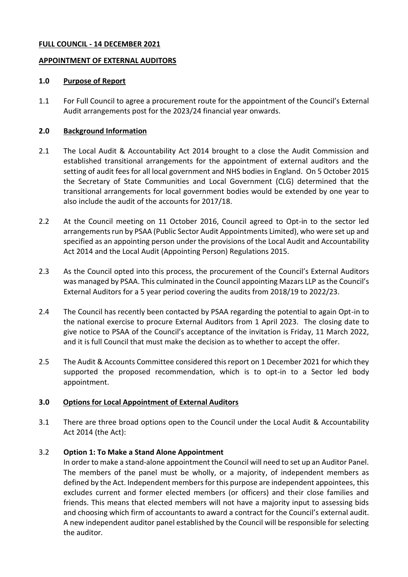#### **FULL COUNCIL - 14 DECEMBER 2021**

#### **APPOINTMENT OF EXTERNAL AUDITORS**

#### **1.0 Purpose of Report**

1.1 For Full Council to agree a procurement route for the appointment of the Council's External Audit arrangements post for the 2023/24 financial year onwards.

#### **2.0 Background Information**

- 2.1 The Local Audit & Accountability Act 2014 brought to a close the Audit Commission and established transitional arrangements for the appointment of external auditors and the setting of audit fees for all local government and NHS bodies in England. On 5 October 2015 the Secretary of State Communities and Local Government (CLG) determined that the transitional arrangements for local government bodies would be extended by one year to also include the audit of the accounts for 2017/18.
- 2.2 At the Council meeting on 11 October 2016, Council agreed to Opt-in to the sector led arrangements run by PSAA (Public Sector Audit Appointments Limited), who were set up and specified as an appointing person under the provisions of the Local Audit and Accountability Act 2014 and the Local Audit (Appointing Person) Regulations 2015.
- 2.3 As the Council opted into this process, the procurement of the Council's External Auditors was managed by PSAA. This culminated in the Council appointing Mazars LLP as the Council's External Auditors for a 5 year period covering the audits from 2018/19 to 2022/23.
- 2.4 The Council has recently been contacted by PSAA regarding the potential to again Opt-in to the national exercise to procure External Auditors from 1 April 2023. The closing date to give notice to PSAA of the Council's acceptance of the invitation is Friday, 11 March 2022, and it is full Council that must make the decision as to whether to accept the offer.
- 2.5 The Audit & Accounts Committee considered this report on 1 December 2021 for which they supported the proposed recommendation, which is to opt-in to a Sector led body appointment.

#### **3.0 Options for Local Appointment of External Auditors**

3.1 There are three broad options open to the Council under the Local Audit & Accountability Act 2014 (the Act):

#### 3.2 **Option 1: To Make a Stand Alone Appointment**

In order to make a stand-alone appointment the Council will need to set up an Auditor Panel. The members of the panel must be wholly, or a majority, of independent members as defined by the Act. Independent members for this purpose are independent appointees, this excludes current and former elected members (or officers) and their close families and friends. This means that elected members will not have a majority input to assessing bids and choosing which firm of accountants to award a contract for the Council's external audit. A new independent auditor panel established by the Council will be responsible for selecting the auditor*.*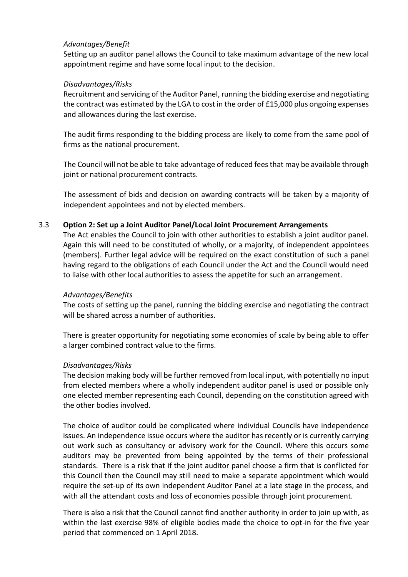### *Advantages/Benefit*

Setting up an auditor panel allows the Council to take maximum advantage of the new local appointment regime and have some local input to the decision.

### *Disadvantages/Risks*

Recruitment and servicing of the Auditor Panel, running the bidding exercise and negotiating the contract was estimated by the LGA to cost in the order of £15,000 plus ongoing expenses and allowances during the last exercise.

The audit firms responding to the bidding process are likely to come from the same pool of firms as the national procurement.

The Council will not be able to take advantage of reduced fees that may be available through joint or national procurement contracts.

The assessment of bids and decision on awarding contracts will be taken by a majority of independent appointees and not by elected members.

### 3.3 **Option 2: Set up a Joint Auditor Panel/Local Joint Procurement Arrangements**

The Act enables the Council to join with other authorities to establish a joint auditor panel. Again this will need to be constituted of wholly, or a majority, of independent appointees (members). Further legal advice will be required on the exact constitution of such a panel having regard to the obligations of each Council under the Act and the Council would need to liaise with other local authorities to assess the appetite for such an arrangement.

#### *Advantages/Benefits*

The costs of setting up the panel, running the bidding exercise and negotiating the contract will be shared across a number of authorities.

There is greater opportunity for negotiating some economies of scale by being able to offer a larger combined contract value to the firms.

#### *Disadvantages/Risks*

The decision making body will be further removed from local input, with potentially no input from elected members where a wholly independent auditor panel is used or possible only one elected member representing each Council, depending on the constitution agreed with the other bodies involved.

The choice of auditor could be complicated where individual Councils have independence issues. An independence issue occurs where the auditor has recently or is currently carrying out work such as consultancy or advisory work for the Council. Where this occurs some auditors may be prevented from being appointed by the terms of their professional standards. There is a risk that if the joint auditor panel choose a firm that is conflicted for this Council then the Council may still need to make a separate appointment which would require the set-up of its own independent Auditor Panel at a late stage in the process, and with all the attendant costs and loss of economies possible through joint procurement.

There is also a risk that the Council cannot find another authority in order to join up with, as within the last exercise 98% of eligible bodies made the choice to opt-in for the five year period that commenced on 1 April 2018.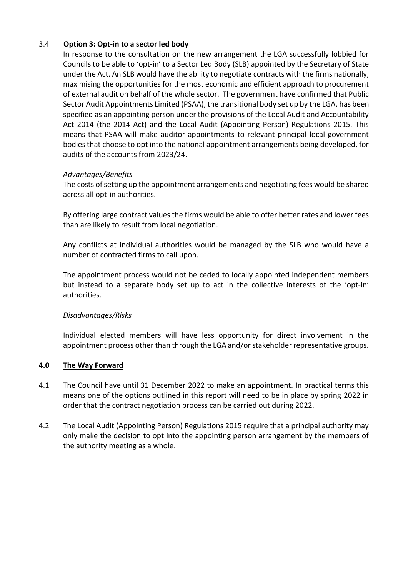# 3.4 **Option 3: Opt-in to a sector led body**

In response to the consultation on the new arrangement the LGA successfully lobbied for Councils to be able to 'opt-in' to a Sector Led Body (SLB) appointed by the Secretary of State under the Act. An SLB would have the ability to negotiate contracts with the firms nationally, maximising the opportunities for the most economic and efficient approach to procurement of external audit on behalf of the whole sector. The government have confirmed that Public Sector Audit Appointments Limited (PSAA), the transitional body set up by the LGA, has been specified as an appointing person under the provisions of the Local Audit and Accountability Act 2014 (the 2014 Act) and the Local Audit (Appointing Person) Regulations 2015. This means that PSAA will make auditor appointments to relevant principal local government bodies that choose to opt into the national appointment arrangements being developed, for audits of the accounts from 2023/24.

# *Advantages/Benefits*

The costs of setting up the appointment arrangements and negotiating fees would be shared across all opt-in authorities.

By offering large contract values the firms would be able to offer better rates and lower fees than are likely to result from local negotiation.

Any conflicts at individual authorities would be managed by the SLB who would have a number of contracted firms to call upon.

The appointment process would not be ceded to locally appointed independent members but instead to a separate body set up to act in the collective interests of the 'opt-in' authorities.

# *Disadvantages/Risks*

Individual elected members will have less opportunity for direct involvement in the appointment process other than through the LGA and/or stakeholder representative groups.

# **4.0 The Way Forward**

- 4.1 The Council have until 31 December 2022 to make an appointment. In practical terms this means one of the options outlined in this report will need to be in place by spring 2022 in order that the contract negotiation process can be carried out during 2022.
- 4.2 The Local Audit (Appointing Person) Regulations 2015 require that a principal authority may only make the decision to opt into the appointing person arrangement by the members of the authority meeting as a whole.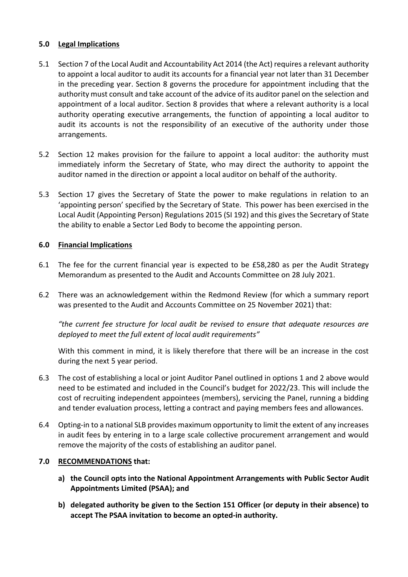# **5.0 Legal Implications**

- 5.1 Section 7 of the Local Audit and Accountability Act 2014 (the Act) requires a relevant authority to appoint a local auditor to audit its accounts for a financial year not later than 31 December in the preceding year. Section 8 governs the procedure for appointment including that the authority must consult and take account of the advice of its auditor panel on the selection and appointment of a local auditor. Section 8 provides that where a relevant authority is a local authority operating executive arrangements, the function of appointing a local auditor to audit its accounts is not the responsibility of an executive of the authority under those arrangements.
- 5.2 Section 12 makes provision for the failure to appoint a local auditor: the authority must immediately inform the Secretary of State, who may direct the authority to appoint the auditor named in the direction or appoint a local auditor on behalf of the authority.
- 5.3 Section 17 gives the Secretary of State the power to make regulations in relation to an 'appointing person' specified by the Secretary of State. This power has been exercised in the Local Audit (Appointing Person) Regulations 2015 (SI 192) and this gives the Secretary of State the ability to enable a Sector Led Body to become the appointing person.

### **6.0 Financial Implications**

- 6.1 The fee for the current financial year is expected to be £58,280 as per the Audit Strategy Memorandum as presented to the Audit and Accounts Committee on 28 July 2021.
- 6.2 There was an acknowledgement within the Redmond Review (for which a summary report was presented to the Audit and Accounts Committee on 25 November 2021) that:

*"the current fee structure for local audit be revised to ensure that adequate resources are deployed to meet the full extent of local audit requirements"*

With this comment in mind, it is likely therefore that there will be an increase in the cost during the next 5 year period.

- 6.3 The cost of establishing a local or joint Auditor Panel outlined in options 1 and 2 above would need to be estimated and included in the Council's budget for 2022/23. This will include the cost of recruiting independent appointees (members), servicing the Panel, running a bidding and tender evaluation process, letting a contract and paying members fees and allowances.
- 6.4 Opting-in to a national SLB provides maximum opportunity to limit the extent of any increases in audit fees by entering in to a large scale collective procurement arrangement and would remove the majority of the costs of establishing an auditor panel.

#### **7.0 RECOMMENDATIONS that:**

- **a) the Council opts into the National Appointment Arrangements with Public Sector Audit Appointments Limited (PSAA); and**
- **b) delegated authority be given to the Section 151 Officer (or deputy in their absence) to accept The PSAA invitation to become an opted-in authority.**